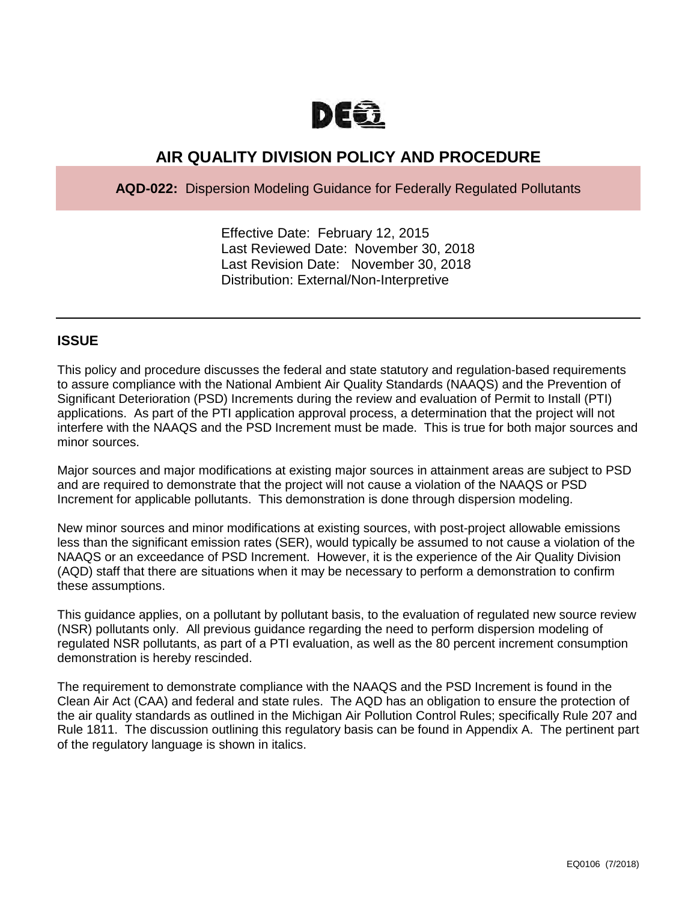

# **AIR QUALITY DIVISION POLICY AND PROCEDURE**

**AQD-022:** Dispersion Modeling Guidance for Federally Regulated Pollutants

Effective Date: February 12, 2015 Last Reviewed Date: November 30, 2018 Last Revision Date: November 30, 2018 Distribution: External/Non-Interpretive

## **ISSUE**

This policy and procedure discusses the federal and state statutory and regulation-based requirements to assure compliance with the National Ambient Air Quality Standards (NAAQS) and the Prevention of Significant Deterioration (PSD) Increments during the review and evaluation of Permit to Install (PTI) applications. As part of the PTI application approval process, a determination that the project will not interfere with the NAAQS and the PSD Increment must be made. This is true for both major sources and minor sources.

Major sources and major modifications at existing major sources in attainment areas are subject to PSD and are required to demonstrate that the project will not cause a violation of the NAAQS or PSD Increment for applicable pollutants. This demonstration is done through dispersion modeling.

New minor sources and minor modifications at existing sources, with post-project allowable emissions less than the significant emission rates (SER), would typically be assumed to not cause a violation of the NAAQS or an exceedance of PSD Increment. However, it is the experience of the Air Quality Division (AQD) staff that there are situations when it may be necessary to perform a demonstration to confirm these assumptions.

This guidance applies, on a pollutant by pollutant basis, to the evaluation of regulated new source review (NSR) pollutants only. All previous guidance regarding the need to perform dispersion modeling of regulated NSR pollutants, as part of a PTI evaluation, as well as the 80 percent increment consumption demonstration is hereby rescinded.

The requirement to demonstrate compliance with the NAAQS and the PSD Increment is found in the Clean Air Act (CAA) and federal and state rules. The AQD has an obligation to ensure the protection of the air quality standards as outlined in the Michigan Air Pollution Control Rules; specifically Rule 207 and Rule 1811. The discussion outlining this regulatory basis can be found in Appendix A. The pertinent part of the regulatory language is shown in italics.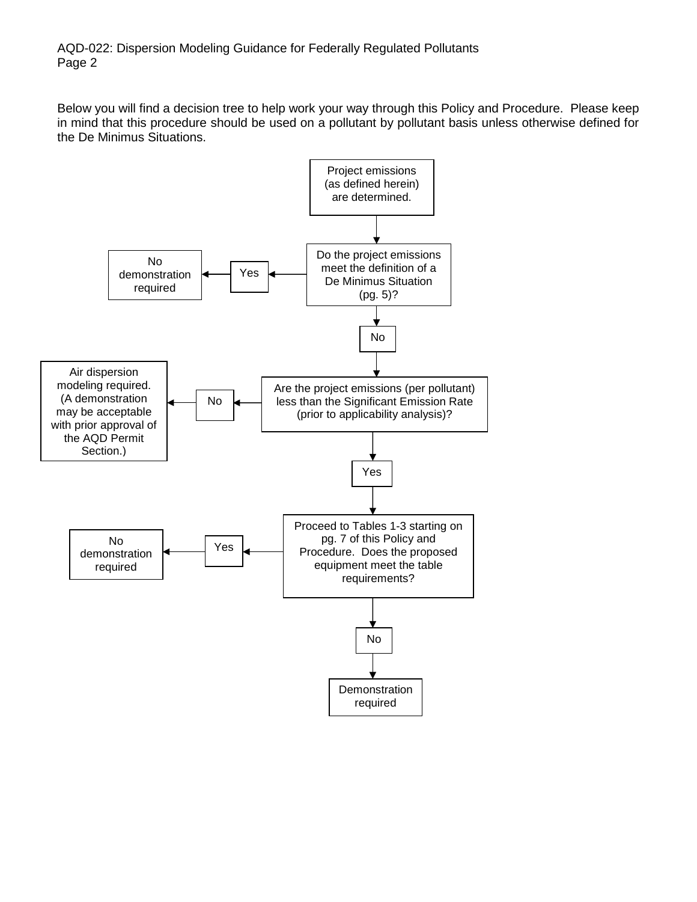Below you will find a decision tree to help work your way through this Policy and Procedure. Please keep in mind that this procedure should be used on a pollutant by pollutant basis unless otherwise defined for the De Minimus Situations.

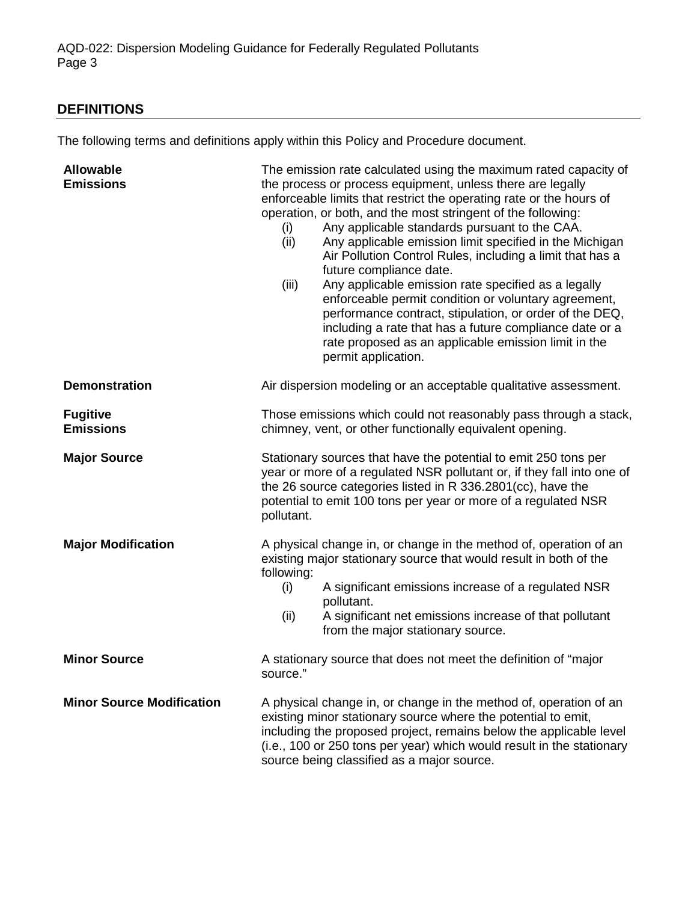## **DEFINITIONS**

The following terms and definitions apply within this Policy and Procedure document.

| <b>Allowable</b><br><b>Emissions</b> | The emission rate calculated using the maximum rated capacity of<br>the process or process equipment, unless there are legally<br>enforceable limits that restrict the operating rate or the hours of<br>operation, or both, and the most stringent of the following:<br>Any applicable standards pursuant to the CAA.<br>(i)<br>Any applicable emission limit specified in the Michigan<br>(ii)<br>Air Pollution Control Rules, including a limit that has a<br>future compliance date.<br>(iii)<br>Any applicable emission rate specified as a legally<br>enforceable permit condition or voluntary agreement,<br>performance contract, stipulation, or order of the DEQ,<br>including a rate that has a future compliance date or a<br>rate proposed as an applicable emission limit in the<br>permit application. |  |
|--------------------------------------|-----------------------------------------------------------------------------------------------------------------------------------------------------------------------------------------------------------------------------------------------------------------------------------------------------------------------------------------------------------------------------------------------------------------------------------------------------------------------------------------------------------------------------------------------------------------------------------------------------------------------------------------------------------------------------------------------------------------------------------------------------------------------------------------------------------------------|--|
| <b>Demonstration</b>                 | Air dispersion modeling or an acceptable qualitative assessment.                                                                                                                                                                                                                                                                                                                                                                                                                                                                                                                                                                                                                                                                                                                                                      |  |
| <b>Fugitive</b><br><b>Emissions</b>  | Those emissions which could not reasonably pass through a stack,<br>chimney, vent, or other functionally equivalent opening.                                                                                                                                                                                                                                                                                                                                                                                                                                                                                                                                                                                                                                                                                          |  |
| <b>Major Source</b>                  | Stationary sources that have the potential to emit 250 tons per<br>year or more of a regulated NSR pollutant or, if they fall into one of<br>the 26 source categories listed in R 336.2801(cc), have the<br>potential to emit 100 tons per year or more of a regulated NSR<br>pollutant.                                                                                                                                                                                                                                                                                                                                                                                                                                                                                                                              |  |
| <b>Major Modification</b>            | A physical change in, or change in the method of, operation of an<br>existing major stationary source that would result in both of the<br>following:<br>A significant emissions increase of a regulated NSR<br>(i)<br>pollutant.<br>(ii)<br>A significant net emissions increase of that pollutant<br>from the major stationary source.                                                                                                                                                                                                                                                                                                                                                                                                                                                                               |  |
| <b>Minor Source</b>                  | A stationary source that does not meet the definition of "major<br>source."                                                                                                                                                                                                                                                                                                                                                                                                                                                                                                                                                                                                                                                                                                                                           |  |
| <b>Minor Source Modification</b>     | A physical change in, or change in the method of, operation of an<br>existing minor stationary source where the potential to emit,<br>including the proposed project, remains below the applicable level<br>(i.e., 100 or 250 tons per year) which would result in the stationary<br>source being classified as a major source.                                                                                                                                                                                                                                                                                                                                                                                                                                                                                       |  |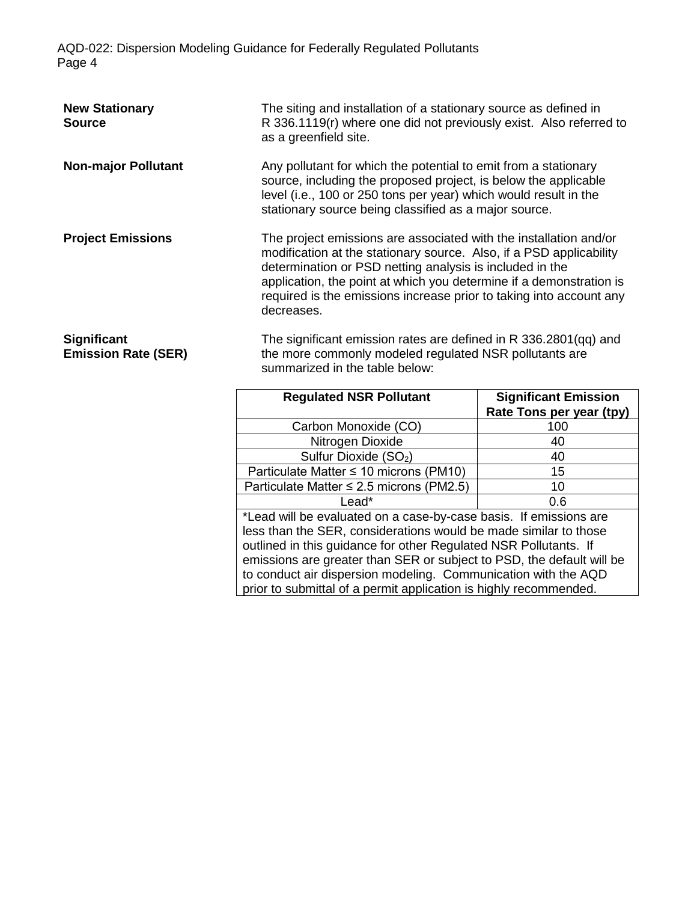| <b>New Stationary</b><br><b>Source</b>           | The siting and installation of a stationary source as defined in<br>R 336.1119(r) where one did not previously exist. Also referred to<br>as a greenfield site.                                                                                                                                                                                                  |                                                         |  |
|--------------------------------------------------|------------------------------------------------------------------------------------------------------------------------------------------------------------------------------------------------------------------------------------------------------------------------------------------------------------------------------------------------------------------|---------------------------------------------------------|--|
| <b>Non-major Pollutant</b>                       | Any pollutant for which the potential to emit from a stationary<br>source, including the proposed project, is below the applicable<br>level (i.e., 100 or 250 tons per year) which would result in the<br>stationary source being classified as a major source.                                                                                                  |                                                         |  |
| <b>Project Emissions</b>                         | The project emissions are associated with the installation and/or<br>modification at the stationary source. Also, if a PSD applicability<br>determination or PSD netting analysis is included in the<br>application, the point at which you determine if a demonstration is<br>required is the emissions increase prior to taking into account any<br>decreases. |                                                         |  |
| <b>Significant</b><br><b>Emission Rate (SER)</b> | The significant emission rates are defined in R 336.2801(qq) and<br>the more commonly modeled regulated NSR pollutants are<br>summarized in the table below:                                                                                                                                                                                                     |                                                         |  |
|                                                  | <b>Regulated NSR Pollutant</b>                                                                                                                                                                                                                                                                                                                                   | <b>Significant Emission</b><br>Rate Tons per year (tpy) |  |

|                                                                       | Rate Tons per year (tpy) |  |  |
|-----------------------------------------------------------------------|--------------------------|--|--|
| Carbon Monoxide (CO)                                                  | 100                      |  |  |
| Nitrogen Dioxide                                                      | 40                       |  |  |
| Sulfur Dioxide (SO <sub>2</sub> )                                     | 40                       |  |  |
| Particulate Matter ≤ 10 microns (PM10)                                | 15                       |  |  |
| Particulate Matter $\leq$ 2.5 microns (PM2.5)                         | 10                       |  |  |
| Lead*                                                                 | 0.6                      |  |  |
| *Lead will be evaluated on a case-by-case basis. If emissions are     |                          |  |  |
| less than the SER, considerations would be made similar to those      |                          |  |  |
| outlined in this guidance for other Regulated NSR Pollutants. If      |                          |  |  |
| emissions are greater than SER or subject to PSD, the default will be |                          |  |  |
| to conduct air dispersion modeling. Communication with the AQD        |                          |  |  |
| prior to submittal of a permit application is highly recommended.     |                          |  |  |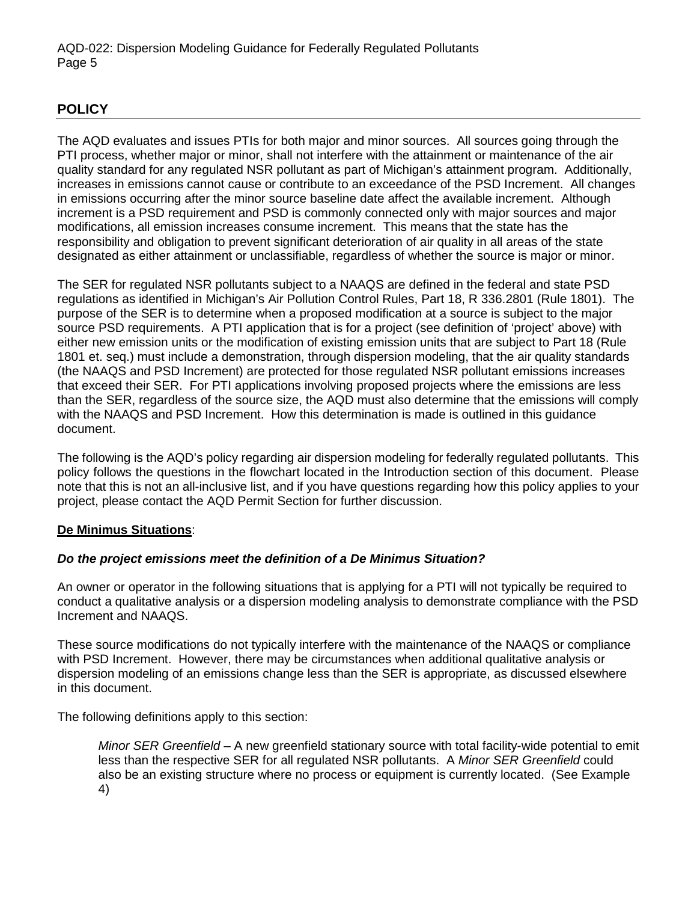## **POLICY**

The AQD evaluates and issues PTIs for both major and minor sources. All sources going through the PTI process, whether major or minor, shall not interfere with the attainment or maintenance of the air quality standard for any regulated NSR pollutant as part of Michigan's attainment program. Additionally, increases in emissions cannot cause or contribute to an exceedance of the PSD Increment. All changes in emissions occurring after the minor source baseline date affect the available increment. Although increment is a PSD requirement and PSD is commonly connected only with major sources and major modifications, all emission increases consume increment. This means that the state has the responsibility and obligation to prevent significant deterioration of air quality in all areas of the state designated as either attainment or unclassifiable, regardless of whether the source is major or minor.

The SER for regulated NSR pollutants subject to a NAAQS are defined in the federal and state PSD regulations as identified in Michigan's Air Pollution Control Rules, Part 18, R 336.2801 (Rule 1801). The purpose of the SER is to determine when a proposed modification at a source is subject to the major source PSD requirements. A PTI application that is for a project (see definition of 'project' above) with either new emission units or the modification of existing emission units that are subject to Part 18 (Rule 1801 et. seq.) must include a demonstration, through dispersion modeling, that the air quality standards (the NAAQS and PSD Increment) are protected for those regulated NSR pollutant emissions increases that exceed their SER. For PTI applications involving proposed projects where the emissions are less than the SER, regardless of the source size, the AQD must also determine that the emissions will comply with the NAAQS and PSD Increment. How this determination is made is outlined in this guidance document.

The following is the AQD's policy regarding air dispersion modeling for federally regulated pollutants. This policy follows the questions in the flowchart located in the Introduction section of this document. Please note that this is not an all-inclusive list, and if you have questions regarding how this policy applies to your project, please contact the AQD Permit Section for further discussion.

#### **De Minimus Situations**:

## *Do the project emissions meet the definition of a De Minimus Situation?*

An owner or operator in the following situations that is applying for a PTI will not typically be required to conduct a qualitative analysis or a dispersion modeling analysis to demonstrate compliance with the PSD Increment and NAAQS.

These source modifications do not typically interfere with the maintenance of the NAAQS or compliance with PSD Increment. However, there may be circumstances when additional qualitative analysis or dispersion modeling of an emissions change less than the SER is appropriate, as discussed elsewhere in this document.

The following definitions apply to this section:

*Minor SER Greenfield* – A new greenfield stationary source with total facility-wide potential to emit less than the respective SER for all regulated NSR pollutants. A *Minor SER Greenfield* could also be an existing structure where no process or equipment is currently located. (See Example 4)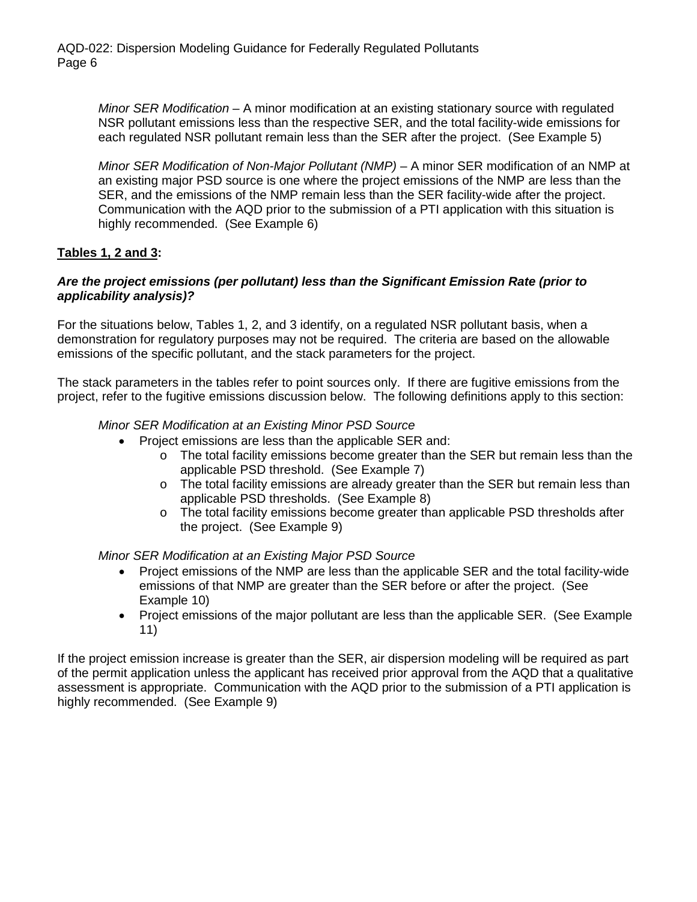*Minor SER Modification* – A minor modification at an existing stationary source with regulated NSR pollutant emissions less than the respective SER, and the total facility-wide emissions for each regulated NSR pollutant remain less than the SER after the project. (See Example 5)

*Minor SER Modification of Non-Major Pollutant (NMP)* – A minor SER modification of an NMP at an existing major PSD source is one where the project emissions of the NMP are less than the SER, and the emissions of the NMP remain less than the SER facility-wide after the project. Communication with the AQD prior to the submission of a PTI application with this situation is highly recommended. (See Example 6)

### **Tables 1, 2 and 3:**

#### *Are the project emissions (per pollutant) less than the Significant Emission Rate (prior to applicability analysis)?*

For the situations below, Tables 1, 2, and 3 identify, on a regulated NSR pollutant basis, when a demonstration for regulatory purposes may not be required. The criteria are based on the allowable emissions of the specific pollutant, and the stack parameters for the project.

The stack parameters in the tables refer to point sources only. If there are fugitive emissions from the project, refer to the fugitive emissions discussion below. The following definitions apply to this section:

#### *Minor SER Modification at an Existing Minor PSD Source*

- Project emissions are less than the applicable SER and:
	- $\circ$  The total facility emissions become greater than the SER but remain less than the applicable PSD threshold. (See Example 7)
	- $\circ$  The total facility emissions are already greater than the SER but remain less than applicable PSD thresholds. (See Example 8)
	- o The total facility emissions become greater than applicable PSD thresholds after the project. (See Example 9)

#### *Minor SER Modification at an Existing Major PSD Source*

- Project emissions of the NMP are less than the applicable SER and the total facility-wide emissions of that NMP are greater than the SER before or after the project. (See Example 10)
- Project emissions of the major pollutant are less than the applicable SER. (See Example 11)

If the project emission increase is greater than the SER, air dispersion modeling will be required as part of the permit application unless the applicant has received prior approval from the AQD that a qualitative assessment is appropriate. Communication with the AQD prior to the submission of a PTI application is highly recommended. (See Example 9)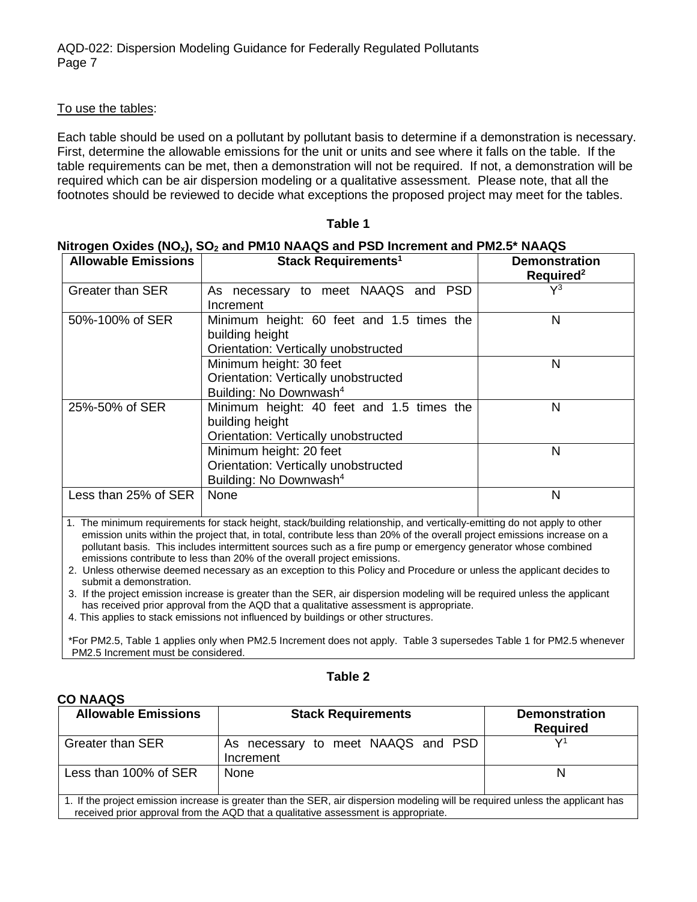#### To use the tables:

Each table should be used on a pollutant by pollutant basis to determine if a demonstration is necessary. First, determine the allowable emissions for the unit or units and see where it falls on the table. If the table requirements can be met, then a demonstration will not be required. If not, a demonstration will be required which can be air dispersion modeling or a qualitative assessment. Please note, that all the footnotes should be reviewed to decide what exceptions the proposed project may meet for the tables.

| <b>Allowable Emissions</b> | Stack Requirements <sup>1</sup>                                                                       | <b>Demonstration</b><br>Required <sup>2</sup> |
|----------------------------|-------------------------------------------------------------------------------------------------------|-----------------------------------------------|
| <b>Greater than SER</b>    | As necessary to meet NAAQS and PSD<br>Increment                                                       | $\mathsf{V}^3$                                |
| 50%-100% of SER            | Minimum height: 60 feet and 1.5 times the<br>building height<br>Orientation: Vertically unobstructed  | N                                             |
|                            | Minimum height: 30 feet<br>Orientation: Vertically unobstructed<br>Building: No Downwash <sup>4</sup> | N                                             |
| 25%-50% of SER             | Minimum height: 40 feet and 1.5 times the<br>building height<br>Orientation: Vertically unobstructed  | N                                             |
|                            | Minimum height: 20 feet<br>Orientation: Vertically unobstructed<br>Building: No Downwash <sup>4</sup> | N                                             |
| Less than 25% of SER       | None                                                                                                  | N                                             |

#### **Table 1**

#### **Nitrogen Oxides (NOx), SO2 and PM10 NAAQS and PSD Increment and PM2.5\* NAAQS**

1. The minimum requirements for stack height, stack/building relationship, and vertically-emitting do not apply to other emission units within the project that, in total, contribute less than 20% of the overall project emissions increase on a pollutant basis. This includes intermittent sources such as a fire pump or emergency generator whose combined emissions contribute to less than 20% of the overall project emissions.

2. Unless otherwise deemed necessary as an exception to this Policy and Procedure or unless the applicant decides to submit a demonstration.

3. If the project emission increase is greater than the SER, air dispersion modeling will be required unless the applicant has received prior approval from the AQD that a qualitative assessment is appropriate.

4. This applies to stack emissions not influenced by buildings or other structures.

\*For PM2.5, Table 1 applies only when PM2.5 Increment does not apply. Table 3 supersedes Table 1 for PM2.5 whenever PM2.5 Increment must be considered.

#### **Table 2**

| <b>Allowable Emissions</b>                                                                                                                                                                                           | <b>Stack Requirements</b>                       | <b>Demonstration</b><br><b>Required</b> |
|----------------------------------------------------------------------------------------------------------------------------------------------------------------------------------------------------------------------|-------------------------------------------------|-----------------------------------------|
| <b>Greater than SER</b>                                                                                                                                                                                              | As necessary to meet NAAQS and PSD<br>Increment |                                         |
| Less than 100% of SER                                                                                                                                                                                                | None                                            |                                         |
| 1. If the project emission increase is greater than the SER, air dispersion modeling will be required unless the applicant has<br>received prior approval from the AQD that a qualitative assessment is appropriate. |                                                 |                                         |

#### **CO NAAQS**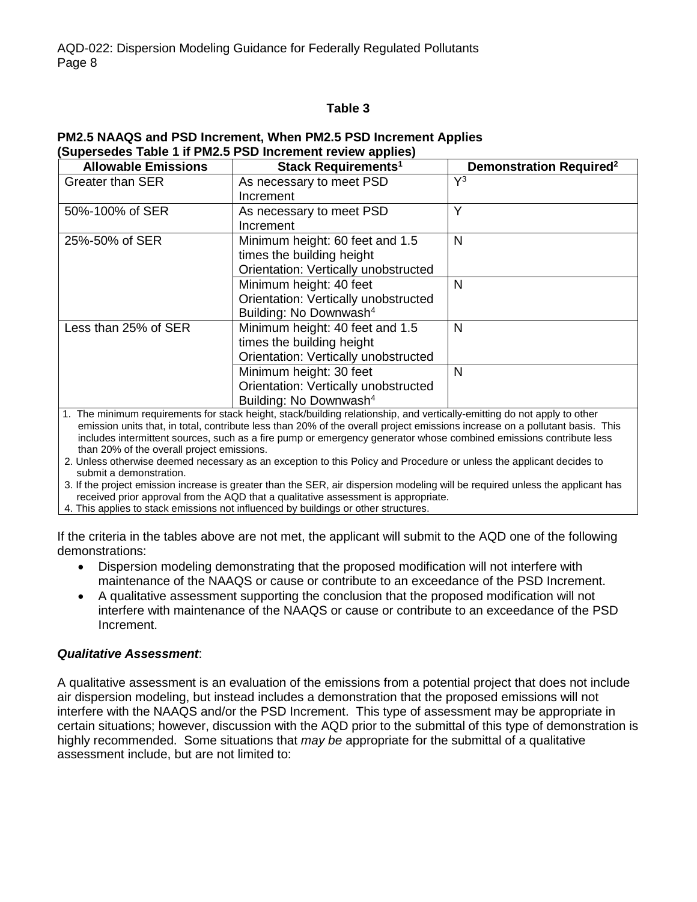#### **Table 3**

#### **PM2.5 NAAQS and PSD Increment, When PM2.5 PSD Increment Applies (Supersedes Table 1 if PM2.5 PSD Increment review applies)**

| <b>Allowable Emissions</b> | Stack Requirements <sup>1</sup>      | <b>Demonstration Required<sup>2</sup></b> |
|----------------------------|--------------------------------------|-------------------------------------------|
| <b>Greater than SER</b>    | As necessary to meet PSD             | $\mathsf{V}^3$                            |
|                            | Increment                            |                                           |
| 50%-100% of SER            | As necessary to meet PSD             | Y                                         |
|                            | Increment                            |                                           |
| 25%-50% of SER             | Minimum height: 60 feet and 1.5      | N                                         |
|                            | times the building height            |                                           |
|                            | Orientation: Vertically unobstructed |                                           |
|                            | Minimum height: 40 feet              | N                                         |
|                            | Orientation: Vertically unobstructed |                                           |
|                            | Building: No Downwash <sup>4</sup>   |                                           |
| Less than 25% of SER       | Minimum height: 40 feet and 1.5      | N                                         |
|                            | times the building height            |                                           |
|                            | Orientation: Vertically unobstructed |                                           |
|                            | Minimum height: 30 feet              | N                                         |
|                            | Orientation: Vertically unobstructed |                                           |
|                            | Building: No Downwash <sup>4</sup>   |                                           |

1. The minimum requirements for stack height, stack/building relationship, and vertically-emitting do not apply to other emission units that, in total, contribute less than 20% of the overall project emissions increase on a pollutant basis. This includes intermittent sources, such as a fire pump or emergency generator whose combined emissions contribute less than 20% of the overall project emissions.

2. Unless otherwise deemed necessary as an exception to this Policy and Procedure or unless the applicant decides to submit a demonstration.

3. If the project emission increase is greater than the SER, air dispersion modeling will be required unless the applicant has received prior approval from the AQD that a qualitative assessment is appropriate.

4. This applies to stack emissions not influenced by buildings or other structures.

If the criteria in the tables above are not met, the applicant will submit to the AQD one of the following demonstrations:

- Dispersion modeling demonstrating that the proposed modification will not interfere with maintenance of the NAAQS or cause or contribute to an exceedance of the PSD Increment.
- A qualitative assessment supporting the conclusion that the proposed modification will not interfere with maintenance of the NAAQS or cause or contribute to an exceedance of the PSD Increment.

#### *Qualitative Assessment*:

A qualitative assessment is an evaluation of the emissions from a potential project that does not include air dispersion modeling, but instead includes a demonstration that the proposed emissions will not interfere with the NAAQS and/or the PSD Increment. This type of assessment may be appropriate in certain situations; however, discussion with the AQD prior to the submittal of this type of demonstration is highly recommended. Some situations that *may be* appropriate for the submittal of a qualitative assessment include, but are not limited to: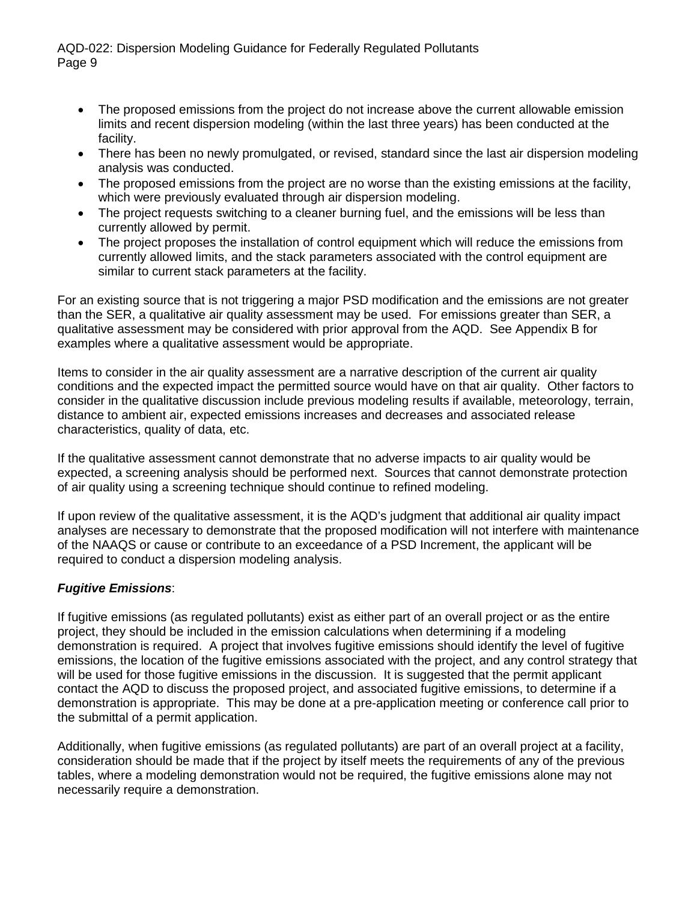- The proposed emissions from the project do not increase above the current allowable emission limits and recent dispersion modeling (within the last three years) has been conducted at the facility.
- There has been no newly promulgated, or revised, standard since the last air dispersion modeling analysis was conducted.
- The proposed emissions from the project are no worse than the existing emissions at the facility, which were previously evaluated through air dispersion modeling.
- The project requests switching to a cleaner burning fuel, and the emissions will be less than currently allowed by permit.
- The project proposes the installation of control equipment which will reduce the emissions from currently allowed limits, and the stack parameters associated with the control equipment are similar to current stack parameters at the facility.

For an existing source that is not triggering a major PSD modification and the emissions are not greater than the SER, a qualitative air quality assessment may be used. For emissions greater than SER, a qualitative assessment may be considered with prior approval from the AQD. See Appendix B for examples where a qualitative assessment would be appropriate.

Items to consider in the air quality assessment are a narrative description of the current air quality conditions and the expected impact the permitted source would have on that air quality. Other factors to consider in the qualitative discussion include previous modeling results if available, meteorology, terrain, distance to ambient air, expected emissions increases and decreases and associated release characteristics, quality of data, etc.

If the qualitative assessment cannot demonstrate that no adverse impacts to air quality would be expected, a screening analysis should be performed next. Sources that cannot demonstrate protection of air quality using a screening technique should continue to refined modeling.

If upon review of the qualitative assessment, it is the AQD's judgment that additional air quality impact analyses are necessary to demonstrate that the proposed modification will not interfere with maintenance of the NAAQS or cause or contribute to an exceedance of a PSD Increment, the applicant will be required to conduct a dispersion modeling analysis.

## *Fugitive Emissions*:

If fugitive emissions (as regulated pollutants) exist as either part of an overall project or as the entire project, they should be included in the emission calculations when determining if a modeling demonstration is required. A project that involves fugitive emissions should identify the level of fugitive emissions, the location of the fugitive emissions associated with the project, and any control strategy that will be used for those fugitive emissions in the discussion. It is suggested that the permit applicant contact the AQD to discuss the proposed project, and associated fugitive emissions, to determine if a demonstration is appropriate. This may be done at a pre-application meeting or conference call prior to the submittal of a permit application.

Additionally, when fugitive emissions (as regulated pollutants) are part of an overall project at a facility, consideration should be made that if the project by itself meets the requirements of any of the previous tables, where a modeling demonstration would not be required, the fugitive emissions alone may not necessarily require a demonstration.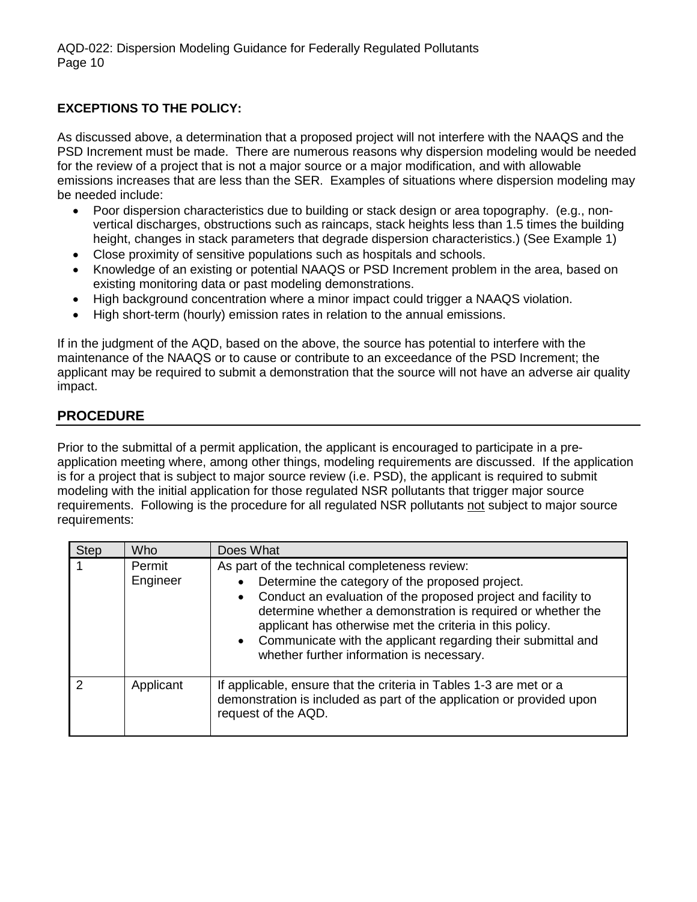## **EXCEPTIONS TO THE POLICY:**

As discussed above, a determination that a proposed project will not interfere with the NAAQS and the PSD Increment must be made. There are numerous reasons why dispersion modeling would be needed for the review of a project that is not a major source or a major modification, and with allowable emissions increases that are less than the SER. Examples of situations where dispersion modeling may be needed include:

- Poor dispersion characteristics due to building or stack design or area topography. (e.g., nonvertical discharges, obstructions such as raincaps, stack heights less than 1.5 times the building height, changes in stack parameters that degrade dispersion characteristics.) (See Example 1)
- Close proximity of sensitive populations such as hospitals and schools.
- Knowledge of an existing or potential NAAQS or PSD Increment problem in the area, based on existing monitoring data or past modeling demonstrations.
- High background concentration where a minor impact could trigger a NAAQS violation.
- High short-term (hourly) emission rates in relation to the annual emissions.

If in the judgment of the AQD, based on the above, the source has potential to interfere with the maintenance of the NAAQS or to cause or contribute to an exceedance of the PSD Increment; the applicant may be required to submit a demonstration that the source will not have an adverse air quality impact.

## **PROCEDURE**

Prior to the submittal of a permit application, the applicant is encouraged to participate in a preapplication meeting where, among other things, modeling requirements are discussed. If the application is for a project that is subject to major source review (i.e. PSD), the applicant is required to submit modeling with the initial application for those regulated NSR pollutants that trigger major source requirements. Following is the procedure for all regulated NSR pollutants not subject to major source requirements:

| <b>Step</b> | Who                | Does What                                                                                                                                                                                                                                                                                                                                                                                                    |  |
|-------------|--------------------|--------------------------------------------------------------------------------------------------------------------------------------------------------------------------------------------------------------------------------------------------------------------------------------------------------------------------------------------------------------------------------------------------------------|--|
|             | Permit<br>Engineer | As part of the technical completeness review:<br>Determine the category of the proposed project.<br>Conduct an evaluation of the proposed project and facility to<br>determine whether a demonstration is required or whether the<br>applicant has otherwise met the criteria in this policy.<br>• Communicate with the applicant regarding their submittal and<br>whether further information is necessary. |  |
| 2           | Applicant          | If applicable, ensure that the criteria in Tables 1-3 are met or a<br>demonstration is included as part of the application or provided upon<br>request of the AQD.                                                                                                                                                                                                                                           |  |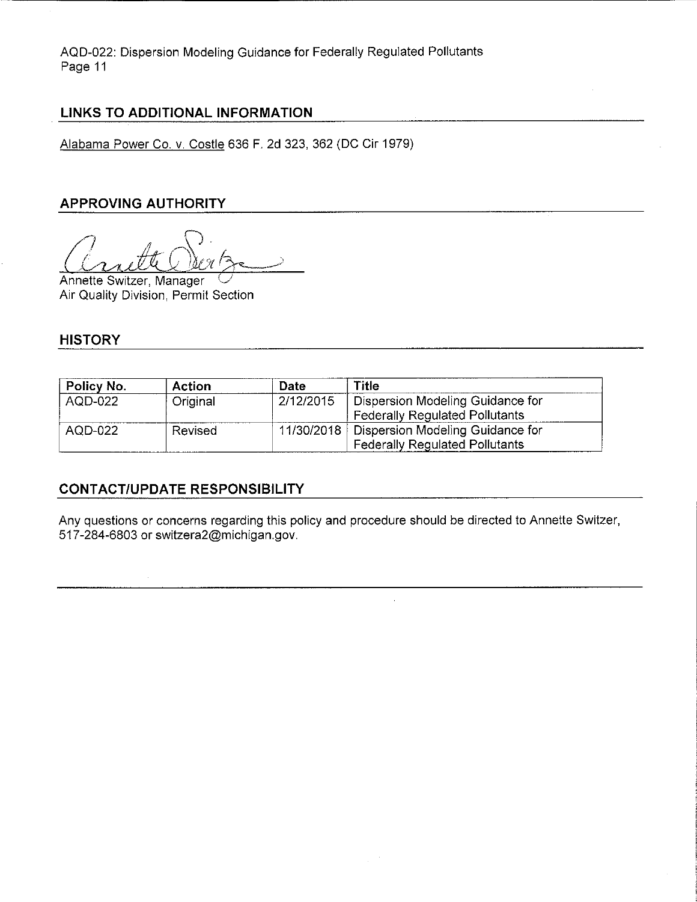### **LINKS TO ADDITIONAL INFORMATION**

Alabama Power Co. v. Costle 636 F. 2d 323, 362 (DC Cir 1979)

## **APPROVING AUTHORITY**

 $\alpha$ rutte Sertz

Annette Switzer, Manager Air Quality Division, Permit Section

### **HISTORY**

| Policy No. | Action   | Date      | Title                                         |
|------------|----------|-----------|-----------------------------------------------|
| AQD-022    | Original | 2/12/2015 | Dispersion Modeling Guidance for              |
|            |          |           | <b>Federally Regulated Pollutants</b>         |
| AQD-022    | Revised  |           | 11/30/2018   Dispersion Modeling Guidance for |
|            |          |           | Federally Regulated Pollutants                |

## **CONTACT/UPDATE RESPONSIBILITY**

Any questions or concerns regarding this policy and procedure should be directed to Annette Switzer, 517-284-6803 or switzera2@michigan.gov.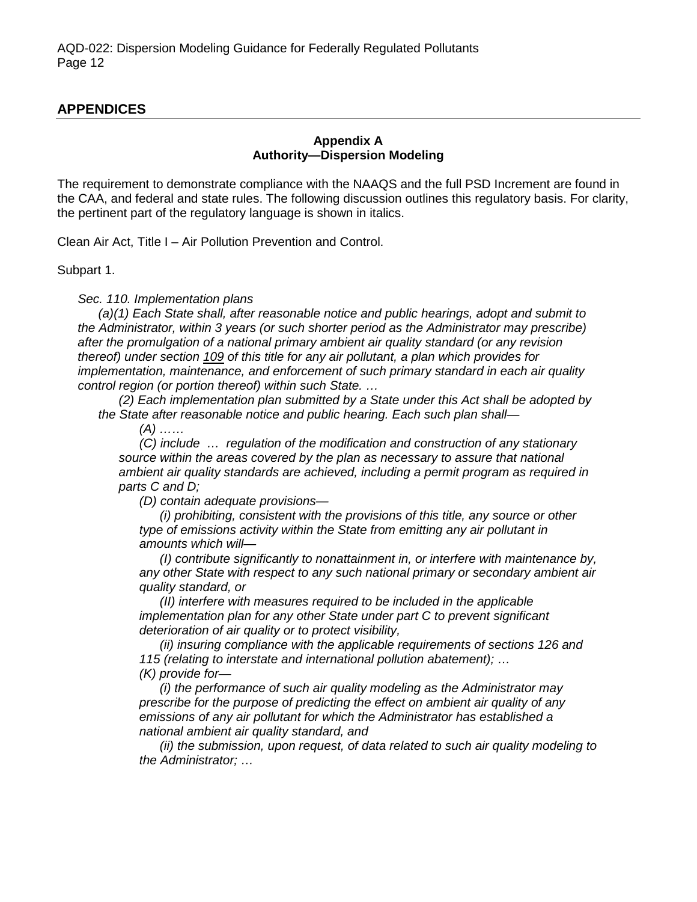## **APPENDICES**

#### **Appendix A Authority—Dispersion Modeling**

The requirement to demonstrate compliance with the NAAQS and the full PSD Increment are found in the CAA, and federal and state rules. The following discussion outlines this regulatory basis. For clarity, the pertinent part of the regulatory language is shown in italics.

Clean Air Act, Title I – Air Pollution Prevention and Control.

#### Subpart 1.

*Sec. 110. Implementation plans* 

*(a)(1) Each State shall, after reasonable notice and public hearings, adopt and submit to the Administrator, within 3 years (or such shorter period as the Administrator may prescribe) after the promulgation of a national primary ambient air quality standard (or any revision thereof) under section [109](http://www.law.cornell.edu/uscode/text/42/7409) of this title for any air pollutant, a plan which provides for implementation, maintenance, and enforcement of such primary standard in each air quality control region (or portion thereof) within such State. …* 

*(2) Each implementation plan submitted by a State under this Act shall be adopted by the State after reasonable notice and public hearing. Each such plan shall—* 

*(A) ……*

*(C) include … regulation of the modification and construction of any stationary source within the areas covered by the plan as necessary to assure that national ambient air quality standards are achieved, including a permit program as required in parts C and D;*

*(D) contain adequate provisions—* 

*(i) prohibiting, consistent with the provisions of this title, any source or other type of emissions activity within the State from emitting any air pollutant in amounts which will—* 

*(I) contribute significantly to nonattainment in, or interfere with maintenance by, any other State with respect to any such national primary or secondary ambient air quality standard, or*

*(II) interfere with measures required to be included in the applicable implementation plan for any other State under part C to prevent significant deterioration of air quality or to protect visibility,*

*(ii) insuring compliance with the applicable requirements of sections 126 and 115 (relating to interstate and international pollution abatement); … (K) provide for—* 

*(i) the performance of such air quality modeling as the Administrator may prescribe for the purpose of predicting the effect on ambient air quality of any emissions of any air pollutant for which the Administrator has established a national ambient air quality standard, and*

*(ii) the submission, upon request, of data related to such air quality modeling to the Administrator; …*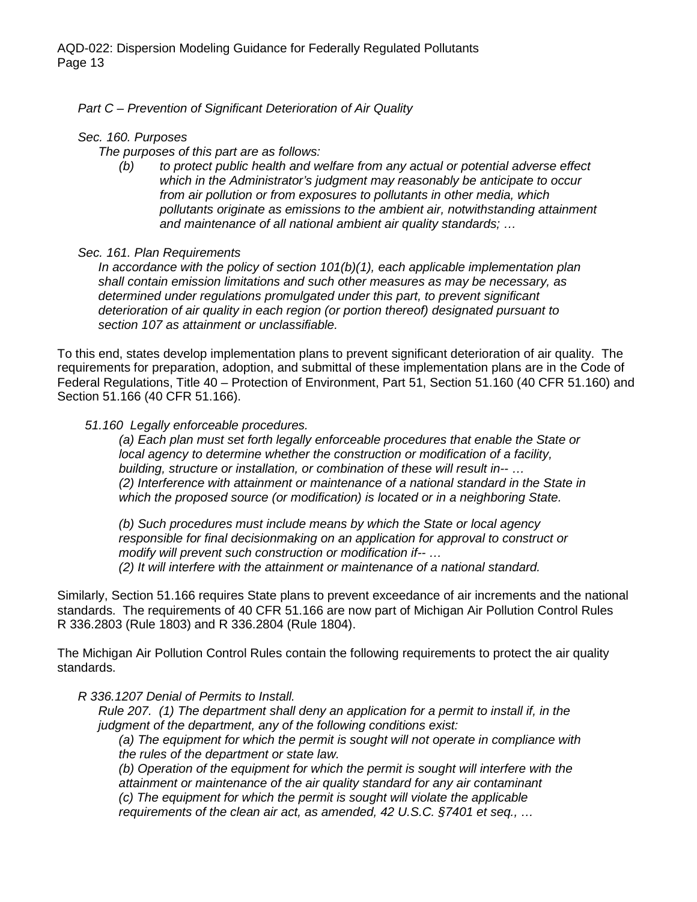*Part C – Prevention of Significant Deterioration of Air Quality*

#### *Sec. 160. Purposes*

*The purposes of this part are as follows:*

*(b) to protect public health and welfare from any actual or potential adverse effect which in the Administrator's judgment may reasonably be anticipate to occur from air pollution or from exposures to pollutants in other media, which pollutants originate as emissions to the ambient air, notwithstanding attainment and maintenance of all national ambient air quality standards; …*

#### *Sec. 161. Plan Requirements*

*In accordance with the policy of section 101(b)(1), each applicable implementation plan shall contain emission limitations and such other measures as may be necessary, as determined under regulations promulgated under this part, to prevent significant deterioration of air quality in each region (or portion thereof) designated pursuant to section 107 as attainment or unclassifiable.*

To this end, states develop implementation plans to prevent significant deterioration of air quality. The requirements for preparation, adoption, and submittal of these implementation plans are in the Code of Federal Regulations, Title 40 – Protection of Environment, Part 51, Section 51.160 (40 CFR 51.160) and Section 51.166 (40 CFR 51.166).

#### *51.160 Legally enforceable procedures.*

*(a) Each plan must set forth legally enforceable procedures that enable the State or local agency to determine whether the construction or modification of a facility, building, structure or installation, or combination of these will result in-- … (2) Interference with attainment or maintenance of a national standard in the State in which the proposed source (or modification) is located or in a neighboring State.*

*(b) Such procedures must include means by which the State or local agency responsible for final decisionmaking on an application for approval to construct or modify will prevent such construction or modification if-- … (2) It will interfere with the attainment or maintenance of a national standard.*

Similarly, Section 51.166 requires State plans to prevent exceedance of air increments and the national standards. The requirements of 40 CFR 51.166 are now part of Michigan Air Pollution Control Rules R 336.2803 (Rule 1803) and R 336.2804 (Rule 1804).

The Michigan Air Pollution Control Rules contain the following requirements to protect the air quality standards.

*R 336.1207 Denial of Permits to Install.*

*Rule 207. (1) The department shall deny an application for a permit to install if, in the judgment of the department, any of the following conditions exist:* 

*(a) The equipment for which the permit is sought will not operate in compliance with the rules of the department or state law.*

*(b) Operation of the equipment for which the permit is sought will interfere with the attainment or maintenance of the air quality standard for any air contaminant (c) The equipment for which the permit is sought will violate the applicable* 

*requirements of the clean air act, as amended, 42 U.S.C. §7401 et seq., …*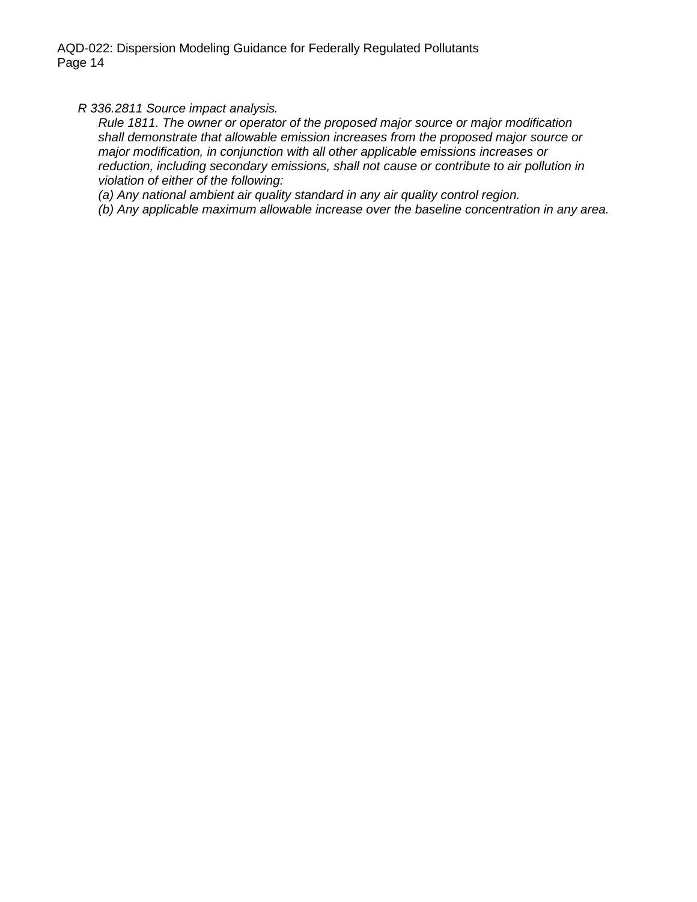*R 336.2811 Source impact analysis.*

*Rule 1811. The owner or operator of the proposed major source or major modification shall demonstrate that allowable emission increases from the proposed major source or major modification, in conjunction with all other applicable emissions increases or reduction, including secondary emissions, shall not cause or contribute to air pollution in violation of either of the following:*

*(a) Any national ambient air quality standard in any air quality control region.*

*(b) Any applicable maximum allowable increase over the baseline concentration in any area.*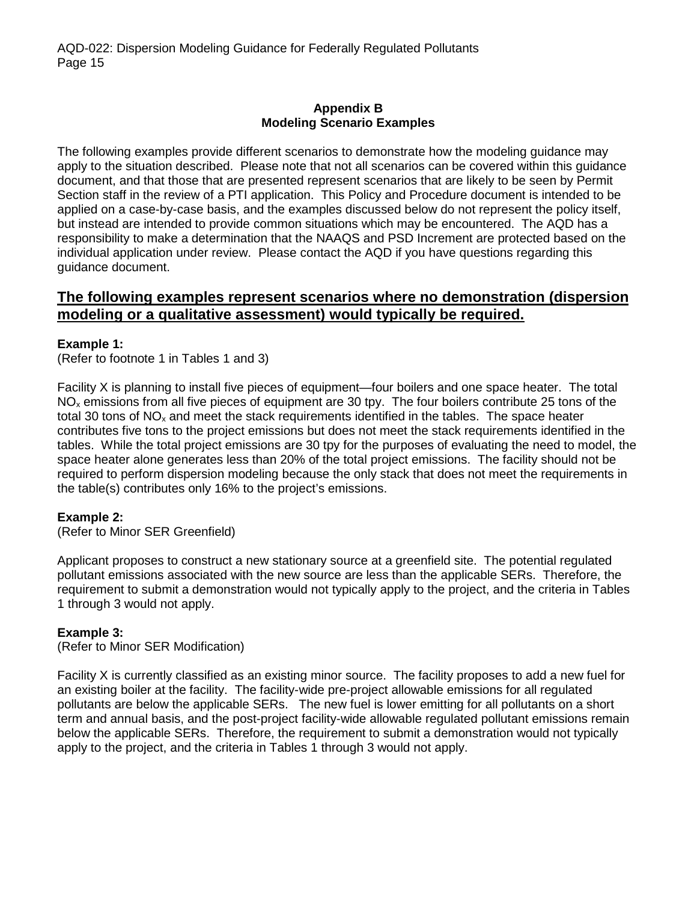#### **Appendix B Modeling Scenario Examples**

The following examples provide different scenarios to demonstrate how the modeling guidance may apply to the situation described. Please note that not all scenarios can be covered within this guidance document, and that those that are presented represent scenarios that are likely to be seen by Permit Section staff in the review of a PTI application. This Policy and Procedure document is intended to be applied on a case-by-case basis, and the examples discussed below do not represent the policy itself, but instead are intended to provide common situations which may be encountered. The AQD has a responsibility to make a determination that the NAAQS and PSD Increment are protected based on the individual application under review. Please contact the AQD if you have questions regarding this guidance document.

## **The following examples represent scenarios where no demonstration (dispersion modeling or a qualitative assessment) would typically be required.**

#### **Example 1:**

(Refer to footnote 1 in Tables 1 and 3)

Facility X is planning to install five pieces of equipment—four boilers and one space heater. The total NO<sub>x</sub> emissions from all five pieces of equipment are 30 tpy. The four boilers contribute 25 tons of the total 30 tons of  $NO<sub>x</sub>$  and meet the stack requirements identified in the tables. The space heater contributes five tons to the project emissions but does not meet the stack requirements identified in the tables. While the total project emissions are 30 tpy for the purposes of evaluating the need to model, the space heater alone generates less than 20% of the total project emissions. The facility should not be required to perform dispersion modeling because the only stack that does not meet the requirements in the table(s) contributes only 16% to the project's emissions.

#### **Example 2:**

(Refer to Minor SER Greenfield)

Applicant proposes to construct a new stationary source at a greenfield site. The potential regulated pollutant emissions associated with the new source are less than the applicable SERs. Therefore, the requirement to submit a demonstration would not typically apply to the project, and the criteria in Tables 1 through 3 would not apply.

#### **Example 3:**

(Refer to Minor SER Modification)

Facility X is currently classified as an existing minor source. The facility proposes to add a new fuel for an existing boiler at the facility. The facility-wide pre-project allowable emissions for all regulated pollutants are below the applicable SERs. The new fuel is lower emitting for all pollutants on a short term and annual basis, and the post-project facility-wide allowable regulated pollutant emissions remain below the applicable SERs. Therefore, the requirement to submit a demonstration would not typically apply to the project, and the criteria in Tables 1 through 3 would not apply.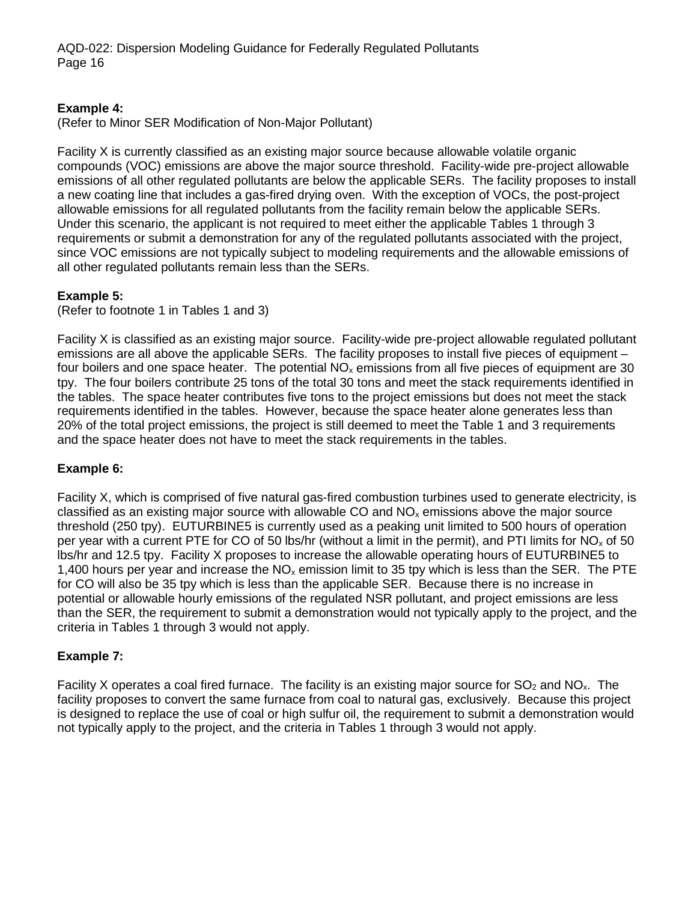### **Example 4:**

(Refer to Minor SER Modification of Non-Major Pollutant)

Facility X is currently classified as an existing major source because allowable volatile organic compounds (VOC) emissions are above the major source threshold. Facility-wide pre-project allowable emissions of all other regulated pollutants are below the applicable SERs. The facility proposes to install a new coating line that includes a gas-fired drying oven. With the exception of VOCs, the post-project allowable emissions for all regulated pollutants from the facility remain below the applicable SERs. Under this scenario, the applicant is not required to meet either the applicable Tables 1 through 3 requirements or submit a demonstration for any of the regulated pollutants associated with the project, since VOC emissions are not typically subject to modeling requirements and the allowable emissions of all other regulated pollutants remain less than the SERs.

## **Example 5:**

(Refer to footnote 1 in Tables 1 and 3)

Facility X is classified as an existing major source. Facility-wide pre-project allowable regulated pollutant emissions are all above the applicable SERs. The facility proposes to install five pieces of equipment – four boilers and one space heater. The potential  $NO<sub>x</sub>$  emissions from all five pieces of equipment are 30 tpy. The four boilers contribute 25 tons of the total 30 tons and meet the stack requirements identified in the tables. The space heater contributes five tons to the project emissions but does not meet the stack requirements identified in the tables. However, because the space heater alone generates less than 20% of the total project emissions, the project is still deemed to meet the Table 1 and 3 requirements and the space heater does not have to meet the stack requirements in the tables.

## **Example 6:**

Facility X, which is comprised of five natural gas-fired combustion turbines used to generate electricity, is classified as an existing major source with allowable CO and  $NO<sub>x</sub>$  emissions above the major source threshold (250 tpy). EUTURBINE5 is currently used as a peaking unit limited to 500 hours of operation per year with a current PTE for CO of 50 lbs/hr (without a limit in the permit), and PTI limits for  $NO<sub>x</sub>$  of 50 lbs/hr and 12.5 tpy. Facility X proposes to increase the allowable operating hours of EUTURBINE5 to 1,400 hours per year and increase the  $NO<sub>x</sub>$  emission limit to 35 tpy which is less than the SER. The PTE for CO will also be 35 tpy which is less than the applicable SER. Because there is no increase in potential or allowable hourly emissions of the regulated NSR pollutant, and project emissions are less than the SER, the requirement to submit a demonstration would not typically apply to the project, and the criteria in Tables 1 through 3 would not apply.

#### **Example 7:**

Facility X operates a coal fired furnace. The facility is an existing major source for  $SO_2$  and  $NO_x$ . The facility proposes to convert the same furnace from coal to natural gas, exclusively. Because this project is designed to replace the use of coal or high sulfur oil, the requirement to submit a demonstration would not typically apply to the project, and the criteria in Tables 1 through 3 would not apply.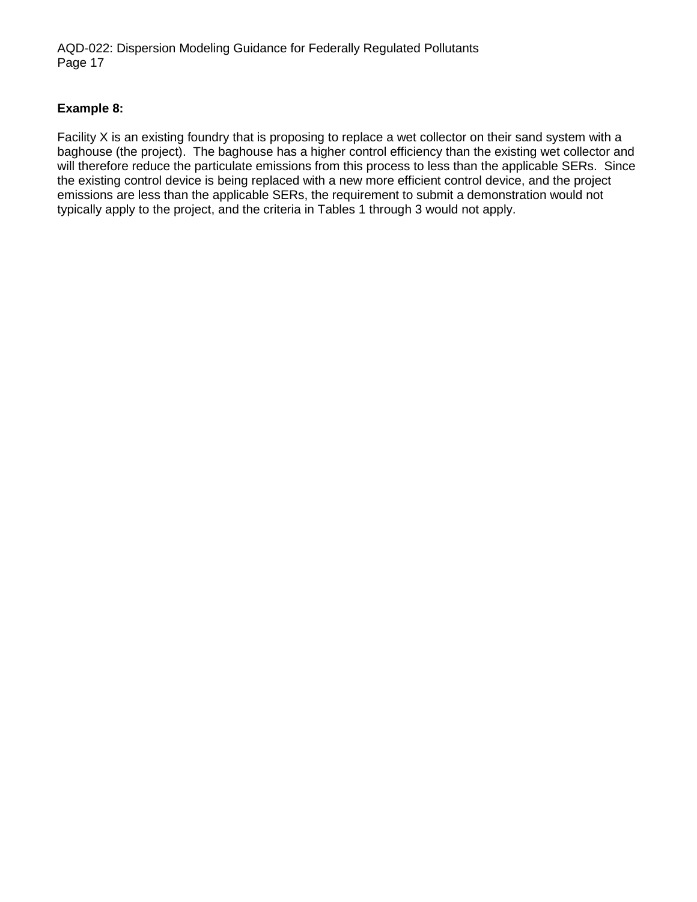#### **Example 8:**

Facility X is an existing foundry that is proposing to replace a wet collector on their sand system with a baghouse (the project). The baghouse has a higher control efficiency than the existing wet collector and will therefore reduce the particulate emissions from this process to less than the applicable SERs. Since the existing control device is being replaced with a new more efficient control device, and the project emissions are less than the applicable SERs, the requirement to submit a demonstration would not typically apply to the project, and the criteria in Tables 1 through 3 would not apply.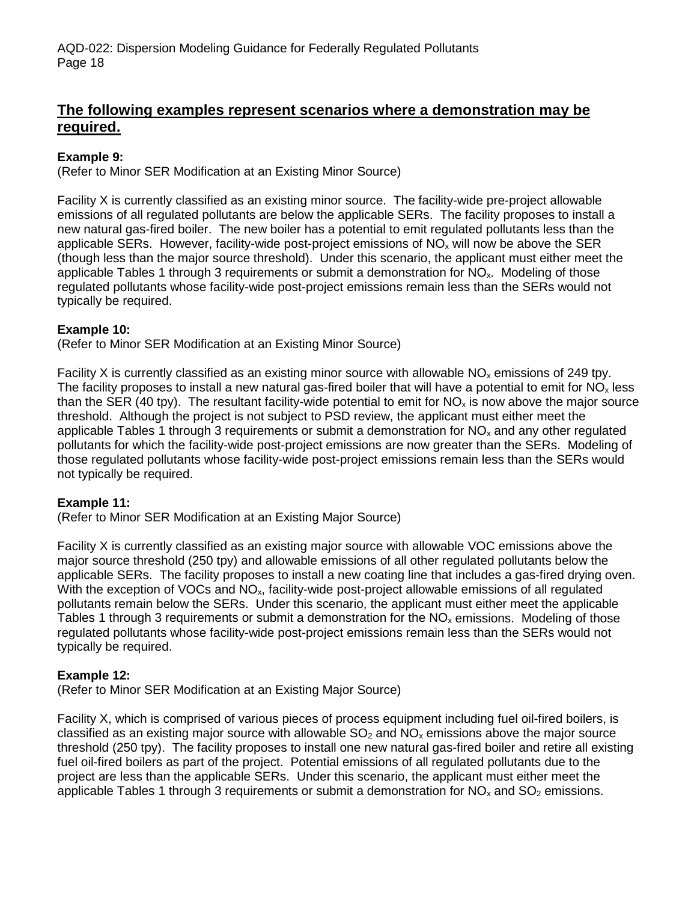## **The following examples represent scenarios where a demonstration may be required.**

### **Example 9:**

(Refer to Minor SER Modification at an Existing Minor Source)

Facility X is currently classified as an existing minor source. The facility-wide pre-project allowable emissions of all regulated pollutants are below the applicable SERs. The facility proposes to install a new natural gas-fired boiler. The new boiler has a potential to emit regulated pollutants less than the applicable SERs. However, facility-wide post-project emissions of  $NO<sub>x</sub>$  will now be above the SER (though less than the major source threshold). Under this scenario, the applicant must either meet the applicable Tables 1 through 3 requirements or submit a demonstration for  $NO<sub>x</sub>$ . Modeling of those regulated pollutants whose facility-wide post-project emissions remain less than the SERs would not typically be required.

#### **Example 10:**

(Refer to Minor SER Modification at an Existing Minor Source)

Facility X is currently classified as an existing minor source with allowable  $NO<sub>x</sub>$  emissions of 249 tpy. The facility proposes to install a new natural gas-fired boiler that will have a potential to emit for  $NO<sub>x</sub>$  less than the SER (40 tpy). The resultant facility-wide potential to emit for  $NO_x$  is now above the major source threshold. Although the project is not subject to PSD review, the applicant must either meet the applicable Tables 1 through 3 requirements or submit a demonstration for  $NO<sub>x</sub>$  and any other regulated pollutants for which the facility-wide post-project emissions are now greater than the SERs. Modeling of those regulated pollutants whose facility-wide post-project emissions remain less than the SERs would not typically be required.

#### **Example 11:**

(Refer to Minor SER Modification at an Existing Major Source)

Facility X is currently classified as an existing major source with allowable VOC emissions above the major source threshold (250 tpy) and allowable emissions of all other regulated pollutants below the applicable SERs. The facility proposes to install a new coating line that includes a gas-fired drying oven. With the exception of VOCs and NO<sub>x</sub>, facility-wide post-project allowable emissions of all regulated pollutants remain below the SERs. Under this scenario, the applicant must either meet the applicable Tables 1 through 3 requirements or submit a demonstration for the  $NO<sub>x</sub>$  emissions. Modeling of those regulated pollutants whose facility-wide post-project emissions remain less than the SERs would not typically be required.

#### **Example 12:**

(Refer to Minor SER Modification at an Existing Major Source)

Facility X, which is comprised of various pieces of process equipment including fuel oil-fired boilers, is classified as an existing major source with allowable  $SO<sub>2</sub>$  and  $NO<sub>x</sub>$  emissions above the major source threshold (250 tpy). The facility proposes to install one new natural gas-fired boiler and retire all existing fuel oil-fired boilers as part of the project. Potential emissions of all regulated pollutants due to the project are less than the applicable SERs. Under this scenario, the applicant must either meet the applicable Tables 1 through 3 requirements or submit a demonstration for  $NO_x$  and  $SO_2$  emissions.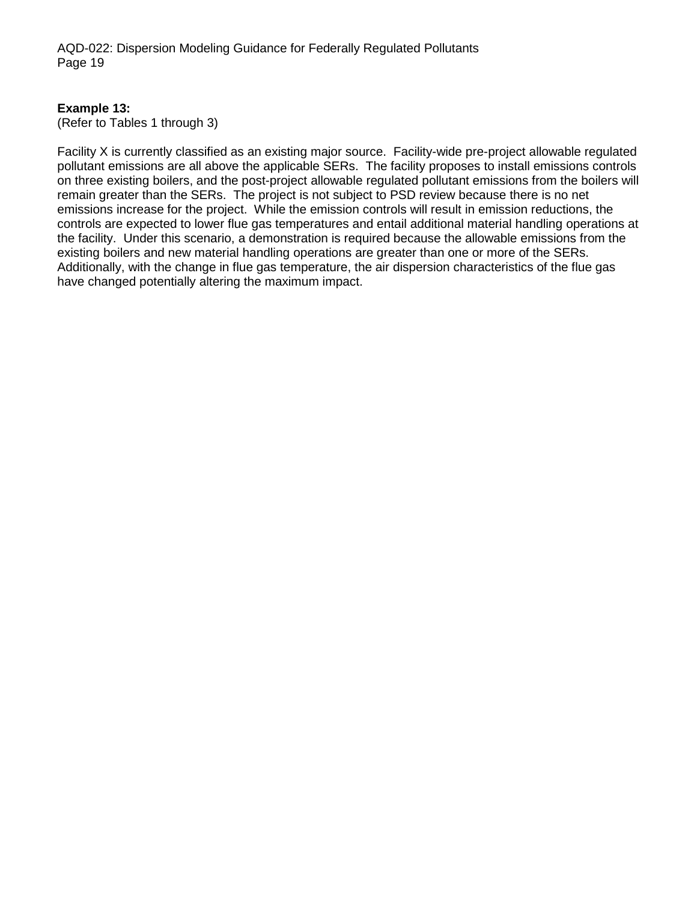#### **Example 13:**

(Refer to Tables 1 through 3)

Facility X is currently classified as an existing major source. Facility-wide pre-project allowable regulated pollutant emissions are all above the applicable SERs. The facility proposes to install emissions controls on three existing boilers, and the post-project allowable regulated pollutant emissions from the boilers will remain greater than the SERs. The project is not subject to PSD review because there is no net emissions increase for the project. While the emission controls will result in emission reductions, the controls are expected to lower flue gas temperatures and entail additional material handling operations at the facility. Under this scenario, a demonstration is required because the allowable emissions from the existing boilers and new material handling operations are greater than one or more of the SERs. Additionally, with the change in flue gas temperature, the air dispersion characteristics of the flue gas have changed potentially altering the maximum impact.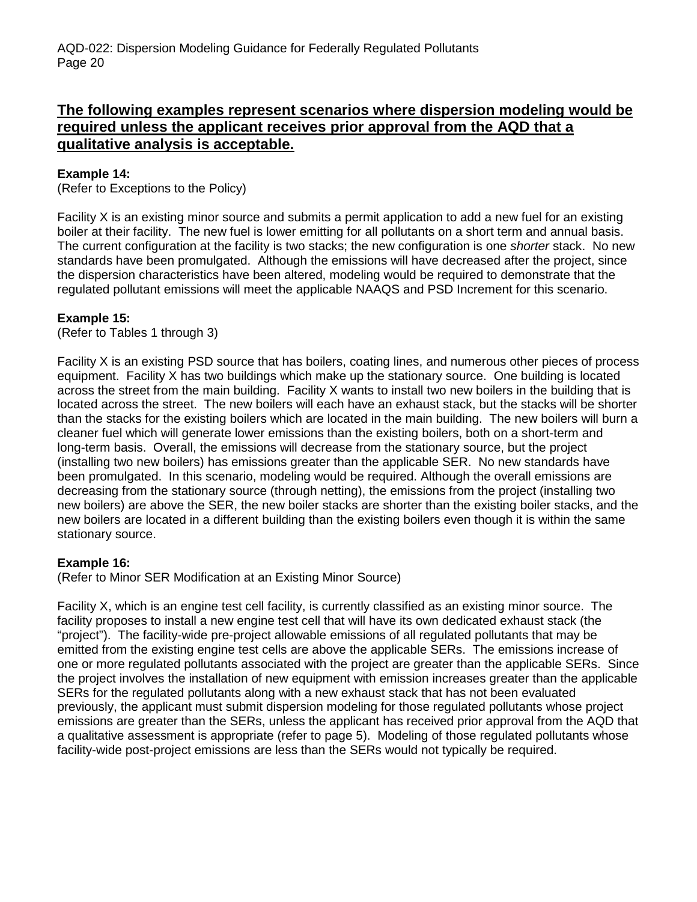## **The following examples represent scenarios where dispersion modeling would be required unless the applicant receives prior approval from the AQD that a qualitative analysis is acceptable.**

### **Example 14:**

(Refer to Exceptions to the Policy)

Facility X is an existing minor source and submits a permit application to add a new fuel for an existing boiler at their facility. The new fuel is lower emitting for all pollutants on a short term and annual basis. The current configuration at the facility is two stacks; the new configuration is one *shorter* stack. No new standards have been promulgated. Although the emissions will have decreased after the project, since the dispersion characteristics have been altered, modeling would be required to demonstrate that the regulated pollutant emissions will meet the applicable NAAQS and PSD Increment for this scenario.

#### **Example 15:**

(Refer to Tables 1 through 3)

Facility X is an existing PSD source that has boilers, coating lines, and numerous other pieces of process equipment. Facility X has two buildings which make up the stationary source. One building is located across the street from the main building. Facility X wants to install two new boilers in the building that is located across the street. The new boilers will each have an exhaust stack, but the stacks will be shorter than the stacks for the existing boilers which are located in the main building. The new boilers will burn a cleaner fuel which will generate lower emissions than the existing boilers, both on a short-term and long-term basis. Overall, the emissions will decrease from the stationary source, but the project (installing two new boilers) has emissions greater than the applicable SER. No new standards have been promulgated. In this scenario, modeling would be required. Although the overall emissions are decreasing from the stationary source (through netting), the emissions from the project (installing two new boilers) are above the SER, the new boiler stacks are shorter than the existing boiler stacks, and the new boilers are located in a different building than the existing boilers even though it is within the same stationary source.

#### **Example 16:**

(Refer to Minor SER Modification at an Existing Minor Source)

Facility X, which is an engine test cell facility, is currently classified as an existing minor source. The facility proposes to install a new engine test cell that will have its own dedicated exhaust stack (the "project"). The facility-wide pre-project allowable emissions of all regulated pollutants that may be emitted from the existing engine test cells are above the applicable SERs. The emissions increase of one or more regulated pollutants associated with the project are greater than the applicable SERs. Since the project involves the installation of new equipment with emission increases greater than the applicable SERs for the regulated pollutants along with a new exhaust stack that has not been evaluated previously, the applicant must submit dispersion modeling for those regulated pollutants whose project emissions are greater than the SERs, unless the applicant has received prior approval from the AQD that a qualitative assessment is appropriate (refer to page 5). Modeling of those regulated pollutants whose facility-wide post-project emissions are less than the SERs would not typically be required.